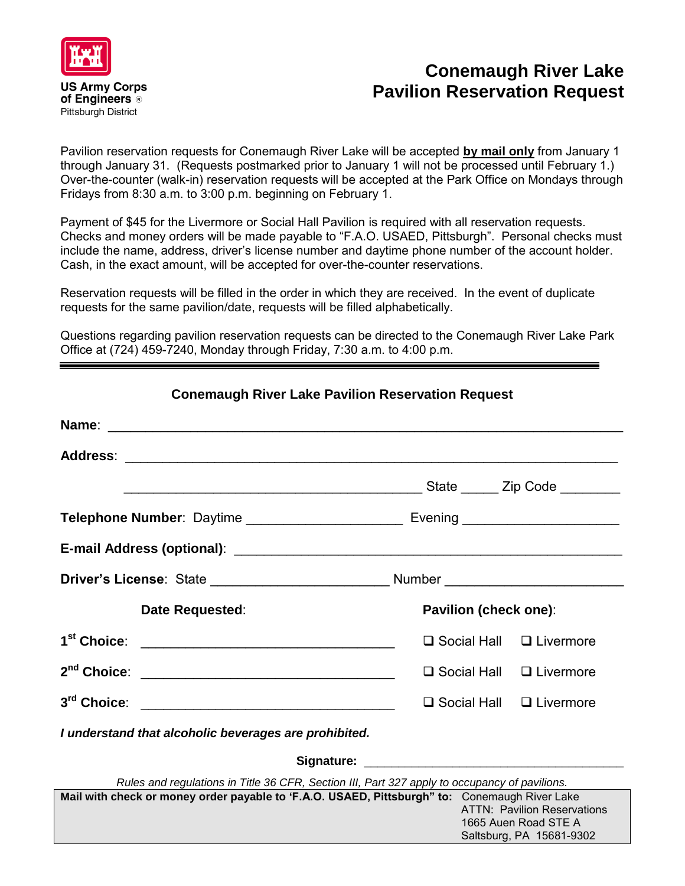

## **Conemaugh River Lake Pavilion Reservation Request**

Pavilion reservation requests for Conemaugh River Lake will be accepted **by mail only** from January 1 through January 31. (Requests postmarked prior to January 1 will not be processed until February 1.) Over-the-counter (walk-in) reservation requests will be accepted at the Park Office on Mondays through Fridays from 8:30 a.m. to 3:00 p.m. beginning on February 1.

Payment of \$45 for the Livermore or Social Hall Pavilion is required with all reservation requests. Checks and money orders will be made payable to "F.A.O. USAED, Pittsburgh". Personal checks must include the name, address, driver's license number and daytime phone number of the account holder. Cash, in the exact amount, will be accepted for over-the-counter reservations.

Reservation requests will be filled in the order in which they are received. In the event of duplicate requests for the same pavilion/date, requests will be filled alphabetically.

Questions regarding pavilion reservation requests can be directed to the Conemaugh River Lake Park Office at (724) 459-7240, Monday through Friday, 7:30 a.m. to 4:00 p.m.

**Conemaugh River Lake Pavilion Reservation Request**

| Date Requested:                                                                                                |                                     | Pavilion (check one):                                          |  |
|----------------------------------------------------------------------------------------------------------------|-------------------------------------|----------------------------------------------------------------|--|
| 1 <sup>st</sup> Choice:                                                                                        | $\Box$ Social Hall $\Box$ Livermore |                                                                |  |
|                                                                                                                | $\square$ Social Hall               | $\Box$ Livermore                                               |  |
| 3rd Choice:                                                                                                    | $\square$ Social Hall               | $\Box$ Livermore                                               |  |
| I understand that alcoholic beverages are prohibited.                                                          |                                     |                                                                |  |
| Signature: National Accounts and Accounts and Accounts and Accounts and Accounts and Accounts and Accounts and |                                     |                                                                |  |
| Rules and regulations in Title 36 CFR, Section III, Part 327 apply to occupancy of pavilions.                  |                                     |                                                                |  |
| Mail with check or money order payable to 'F.A.O. USAED, Pittsburgh" to: Conemaugh River Lake                  | 1665 Auen Road STE A                | <b>ATTN: Pavilion Reservations</b><br>Saltsburg, PA 15681-9302 |  |